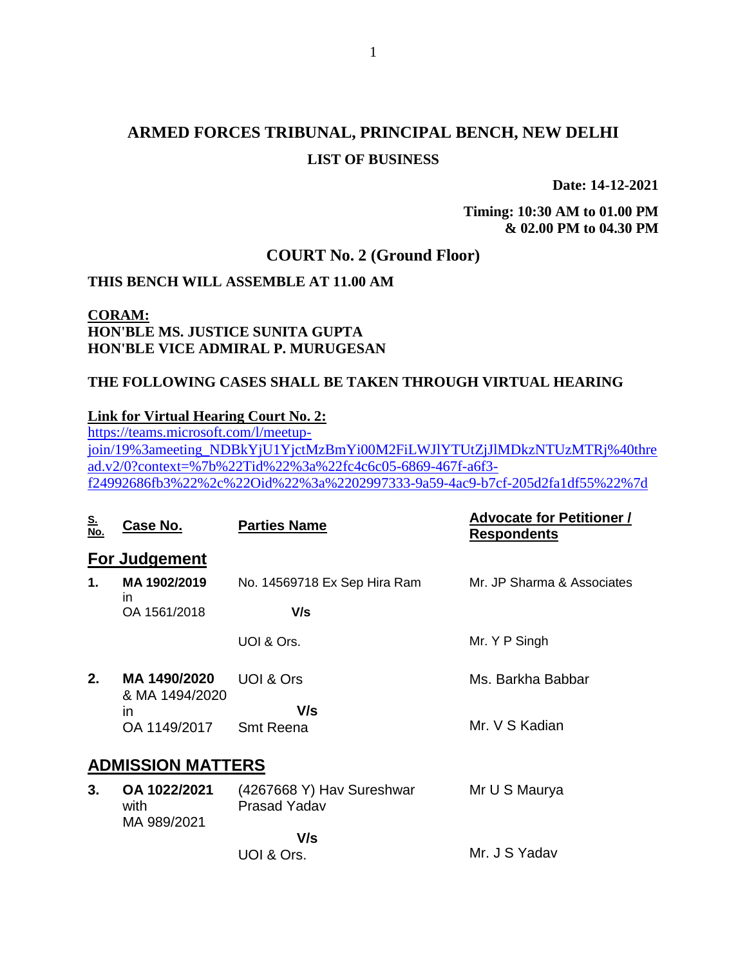# **ARMED FORCES TRIBUNAL, PRINCIPAL BENCH, NEW DELHI LIST OF BUSINESS**

**Date: 14-12-2021**

**Timing: 10:30 AM to 01.00 PM & 02.00 PM to 04.30 PM**

### **COURT No. 2 (Ground Floor)**

### **THIS BENCH WILL ASSEMBLE AT 11.00 AM**

## **CORAM: HON'BLE MS. JUSTICE SUNITA GUPTA HON'BLE VICE ADMIRAL P. MURUGESAN**

### **THE FOLLOWING CASES SHALL BE TAKEN THROUGH VIRTUAL HEARING**

### **Link for Virtual Hearing Court No. 2:**

[https://teams.microsoft.com/l/meetup](https://teams.microsoft.com/l/meetup-join/19%3ameeting_NDBkYjU1YjctMzBmYi00M2FiLWJlYTUtZjJlMDkzNTUzMTRj%40thread.v2/0?context=%7b%22Tid%22%3a%22fc4c6c05-6869-467f-a6f3-f24992686fb3%22%2c%22Oid%22%3a%2202997333-9a59-4ac9-b7cf-205d2fa1df55%22%7d)[join/19%3ameeting\\_NDBkYjU1YjctMzBmYi00M2FiLWJlYTUtZjJlMDkzNTUzMTRj%40thre](https://teams.microsoft.com/l/meetup-join/19%3ameeting_NDBkYjU1YjctMzBmYi00M2FiLWJlYTUtZjJlMDkzNTUzMTRj%40thread.v2/0?context=%7b%22Tid%22%3a%22fc4c6c05-6869-467f-a6f3-f24992686fb3%22%2c%22Oid%22%3a%2202997333-9a59-4ac9-b7cf-205d2fa1df55%22%7d) [ad.v2/0?context=%7b%22Tid%22%3a%22fc4c6c05-6869-467f-a6f3](https://teams.microsoft.com/l/meetup-join/19%3ameeting_NDBkYjU1YjctMzBmYi00M2FiLWJlYTUtZjJlMDkzNTUzMTRj%40thread.v2/0?context=%7b%22Tid%22%3a%22fc4c6c05-6869-467f-a6f3-f24992686fb3%22%2c%22Oid%22%3a%2202997333-9a59-4ac9-b7cf-205d2fa1df55%22%7d) [f24992686fb3%22%2c%22Oid%22%3a%2202997333-9a59-4ac9-b7cf-205d2fa1df55%22%7d](https://teams.microsoft.com/l/meetup-join/19%3ameeting_NDBkYjU1YjctMzBmYi00M2FiLWJlYTUtZjJlMDkzNTUzMTRj%40thread.v2/0?context=%7b%22Tid%22%3a%22fc4c6c05-6869-467f-a6f3-f24992686fb3%22%2c%22Oid%22%3a%2202997333-9a59-4ac9-b7cf-205d2fa1df55%22%7d)

| <u>S.</u><br><u>No.</u>  | Case No.                            | <b>Parties Name</b>                              | <b>Advocate for Petitioner /</b><br><u>Respondents</u> |  |
|--------------------------|-------------------------------------|--------------------------------------------------|--------------------------------------------------------|--|
|                          | For Judgement                       |                                                  |                                                        |  |
| $\mathbf 1$ .            | MA 1902/2019<br><i>in</i>           | No. 14569718 Ex Sep Hira Ram                     | Mr. JP Sharma & Associates                             |  |
|                          | OA 1561/2018                        | V/s                                              |                                                        |  |
|                          |                                     | UOI & Ors.                                       | Mr. Y P Singh                                          |  |
| 2.                       | MA 1490/2020<br>& MA 1494/2020      | UOI & Ors                                        | Ms. Barkha Babbar                                      |  |
|                          | <i>in</i><br>OA 1149/2017           | V/s<br><b>Smt Reena</b>                          | Mr. V S Kadian                                         |  |
| <b>ADMISSION MATTERS</b> |                                     |                                                  |                                                        |  |
| 3.                       | OA 1022/2021<br>with<br>MA 989/2021 | (4267668 Y) Hav Sureshwar<br><b>Prasad Yadav</b> | Mr U S Maurya                                          |  |
|                          |                                     | V/s<br>UOI & Ors.                                | Mr. J S Yadav                                          |  |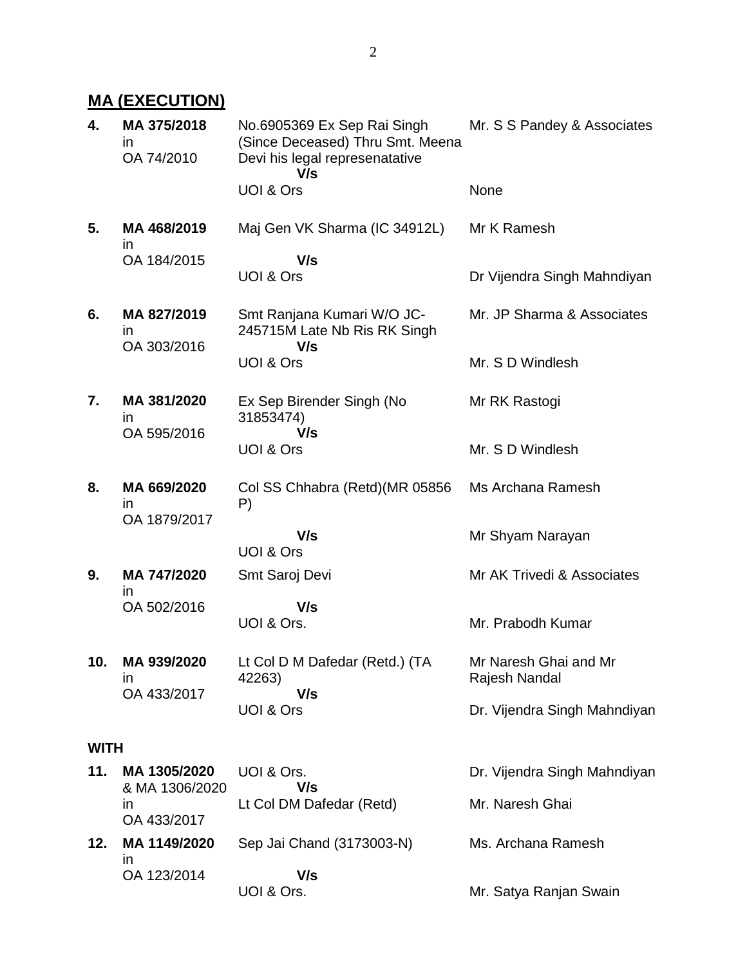# **MA (EXECUTION)**

| 4.          | MA 375/2018<br>ın<br>OA 74/2010            | No.6905369 Ex Sep Rai Singh<br>(Since Deceased) Thru Smt. Meena<br>Devi his legal represenatative<br>V/s | Mr. S S Pandey & Associates            |
|-------------|--------------------------------------------|----------------------------------------------------------------------------------------------------------|----------------------------------------|
|             |                                            | UOI & Ors                                                                                                | None                                   |
| 5.          | MA 468/2019<br>$\mathsf{I}$                | Maj Gen VK Sharma (IC 34912L)                                                                            | Mr K Ramesh                            |
|             | OA 184/2015                                | V/s<br>UOI & Ors                                                                                         | Dr Vijendra Singh Mahndiyan            |
| 6.          | MA 827/2019<br>$\mathsf{I}$<br>OA 303/2016 | Smt Ranjana Kumari W/O JC-<br>245715M Late Nb Ris RK Singh<br>V/s                                        | Mr. JP Sharma & Associates             |
|             |                                            | UOI & Ors                                                                                                | Mr. S D Windlesh                       |
| 7.          | MA 381/2020<br>in<br>OA 595/2016           | Ex Sep Birender Singh (No<br>31853474)<br>V/s                                                            | Mr RK Rastogi                          |
|             |                                            | UOI & Ors                                                                                                | Mr. S D Windlesh                       |
| 8.          | MA 669/2020<br>in<br>OA 1879/2017          | Col SS Chhabra (Retd) (MR 05856<br>P)                                                                    | Ms Archana Ramesh                      |
|             |                                            | V/s<br>UOI & Ors                                                                                         | Mr Shyam Narayan                       |
| 9.          | MA 747/2020<br>in                          | Smt Saroj Devi                                                                                           | Mr AK Trivedi & Associates             |
|             | OA 502/2016                                | V/s<br>UOI & Ors.                                                                                        | Mr. Prabodh Kumar                      |
| 10.         | MA 939/2020<br><i>in</i>                   | Lt Col D M Dafedar (Retd.) (TA<br>42263)<br>V/s                                                          | Mr Naresh Ghai and Mr<br>Rajesh Nandal |
|             | OA 433/2017                                | UOI & Ors                                                                                                | Dr. Vijendra Singh Mahndiyan           |
| <b>WITH</b> |                                            |                                                                                                          |                                        |
| 11.         | MA 1305/2020<br>& MA 1306/2020             | UOI & Ors.<br>V/s                                                                                        | Dr. Vijendra Singh Mahndiyan           |
|             | in.<br>OA 433/2017                         | Lt Col DM Dafedar (Retd)                                                                                 | Mr. Naresh Ghai                        |
| 12.         | MA 1149/2020<br><i>in</i>                  | Sep Jai Chand (3173003-N)                                                                                | Ms. Archana Ramesh                     |
|             | OA 123/2014                                | V/s<br>UOI & Ors.                                                                                        | Mr. Satya Ranjan Swain                 |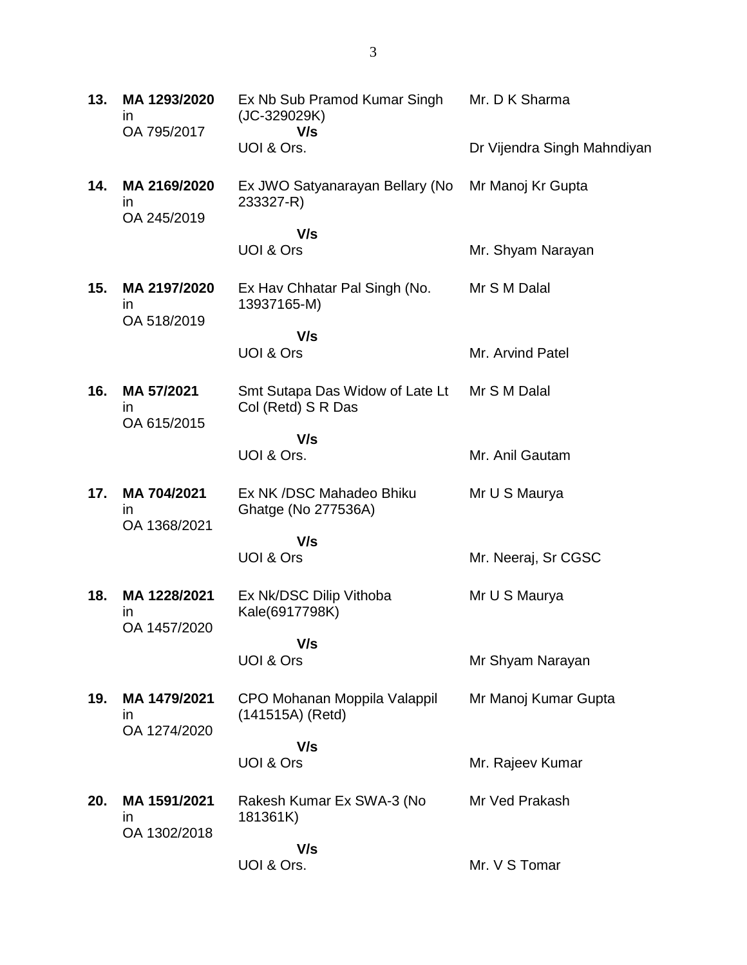| 13. | MA 1293/2020<br><i>in</i><br>OA 795/2017    | Ex Nb Sub Pramod Kumar Singh<br>(JC-329029K)<br>V/s   | Mr. D K Sharma              |
|-----|---------------------------------------------|-------------------------------------------------------|-----------------------------|
|     |                                             | UOI & Ors.                                            | Dr Vijendra Singh Mahndiyan |
| 14. | MA 2169/2020<br>$\mathsf{I}$<br>OA 245/2019 | Ex JWO Satyanarayan Bellary (No<br>233327-R)          | Mr Manoj Kr Gupta           |
|     |                                             | V/s                                                   |                             |
|     |                                             | UOI & Ors                                             | Mr. Shyam Narayan           |
| 15. | MA 2197/2020<br>$\mathsf{I}$<br>OA 518/2019 | Ex Hav Chhatar Pal Singh (No.<br>13937165-M)          | Mr S M Dalal                |
|     |                                             | V/s                                                   |                             |
|     |                                             | UOI & Ors                                             | Mr. Arvind Patel            |
| 16. | MA 57/2021<br>$\mathsf{I}$<br>OA 615/2015   | Smt Sutapa Das Widow of Late Lt<br>Col (Retd) S R Das | Mr S M Dalal                |
|     |                                             | V/s                                                   |                             |
|     |                                             | UOI & Ors.                                            | Mr. Anil Gautam             |
| 17. | MA 704/2021<br>$\mathsf{I}$<br>OA 1368/2021 | Ex NK /DSC Mahadeo Bhiku<br>Ghatge (No 277536A)       | Mr U S Maurya               |
|     |                                             | V/s                                                   |                             |
|     |                                             | UOI & Ors                                             | Mr. Neeraj, Sr CGSC         |
| 18. | MA 1228/2021<br>ın<br>OA 1457/2020          | Ex Nk/DSC Dilip Vithoba<br>Kale(6917798K)             | Mr U S Maurya               |
|     |                                             | V/s                                                   |                             |
|     |                                             | UOI & Ors                                             | Mr Shyam Narayan            |
| 19. | MA 1479/2021<br><i>in</i><br>OA 1274/2020   | CPO Mohanan Moppila Valappil<br>(141515A) (Retd)      | Mr Manoj Kumar Gupta        |
|     |                                             | V/s                                                   |                             |
|     |                                             | UOI & Ors                                             | Mr. Rajeev Kumar            |
| 20. | MA 1591/2021<br><i>in</i><br>OA 1302/2018   | Rakesh Kumar Ex SWA-3 (No<br>181361K)                 | Mr Ved Prakash              |
|     |                                             | V/s                                                   |                             |
|     |                                             | UOI & Ors.                                            | Mr. V S Tomar               |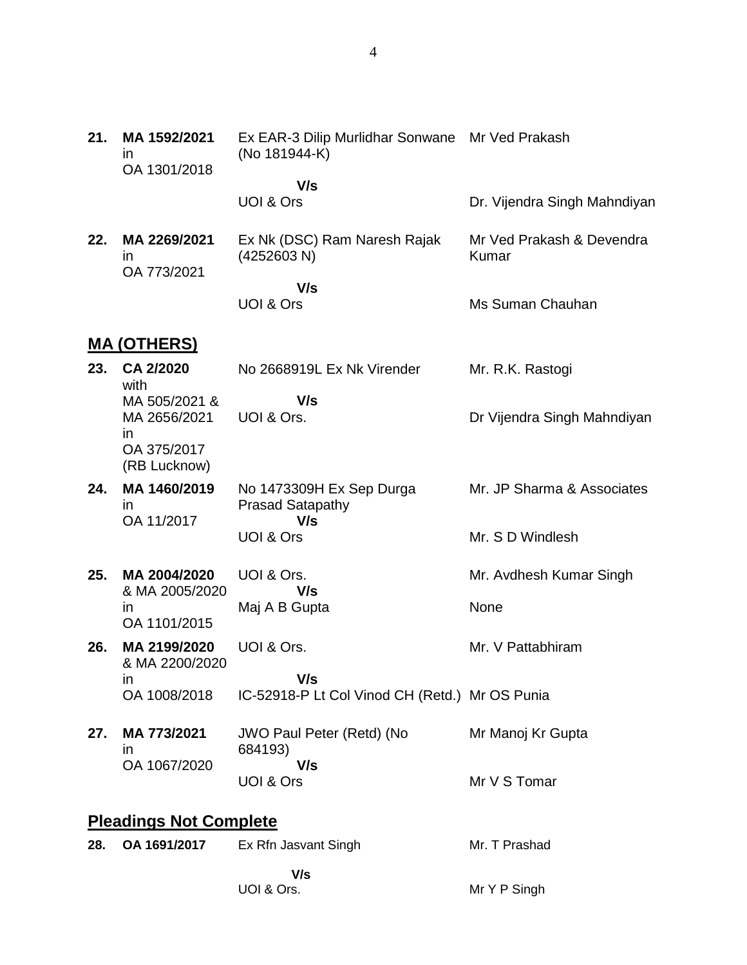| 21. | MA 1592/2021<br><i>in</i><br>OA 1301/2018                          | Ex EAR-3 Dilip Murlidhar Sonwane Mr Ved Prakash<br>(No 181944-K) |                                    |
|-----|--------------------------------------------------------------------|------------------------------------------------------------------|------------------------------------|
|     |                                                                    | V/s                                                              |                                    |
|     |                                                                    | UOI & Ors                                                        | Dr. Vijendra Singh Mahndiyan       |
| 22. | MA 2269/2021<br>in<br>OA 773/2021                                  | Ex Nk (DSC) Ram Naresh Rajak<br>(4252603 N)                      | Mr Ved Prakash & Devendra<br>Kumar |
|     |                                                                    | V/s<br>UOI & Ors                                                 | Ms Suman Chauhan                   |
|     | <b>MA (OTHERS)</b>                                                 |                                                                  |                                    |
| 23. | CA 2/2020<br>with                                                  | No 2668919L Ex Nk Virender                                       | Mr. R.K. Rastogi                   |
|     | MA 505/2021 &<br>MA 2656/2021<br>in<br>OA 375/2017<br>(RB Lucknow) | V/s<br>UOI & Ors.                                                | Dr Vijendra Singh Mahndiyan        |
| 24. | MA 1460/2019<br>ın                                                 | No 1473309H Ex Sep Durga<br><b>Prasad Satapathy</b>              | Mr. JP Sharma & Associates         |
|     | OA 11/2017                                                         | V/s<br>UOI & Ors                                                 | Mr. S D Windlesh                   |
| 25. | MA 2004/2020<br>& MA 2005/2020                                     | UOI & Ors.<br>V/s                                                | Mr. Avdhesh Kumar Singh            |
|     | <i>in</i><br>OA 1101/2015                                          | Maj A B Gupta                                                    | None                               |
| 26. | MA 2199/2020<br>& MA 2200/2020                                     | UOI & Ors.                                                       | Mr. V Pattabhiram                  |
|     | in<br>OA 1008/2018                                                 | V/s<br>IC-52918-P Lt Col Vinod CH (Retd.) Mr OS Punia            |                                    |
| 27. | MA 773/2021<br>in                                                  | JWO Paul Peter (Retd) (No<br>684193)                             | Mr Manoj Kr Gupta                  |
|     | OA 1067/2020                                                       | V/s<br>UOI & Ors                                                 | Mr V S Tomar                       |
|     | <b>Pleadings Not Complete</b>                                      |                                                                  |                                    |
| 28. | OA 1691/2017                                                       | Ex Rfn Jasvant Singh                                             | Mr. T Prashad                      |
|     |                                                                    | V/s<br>UOI & Ors.                                                | Mr Y P Singh                       |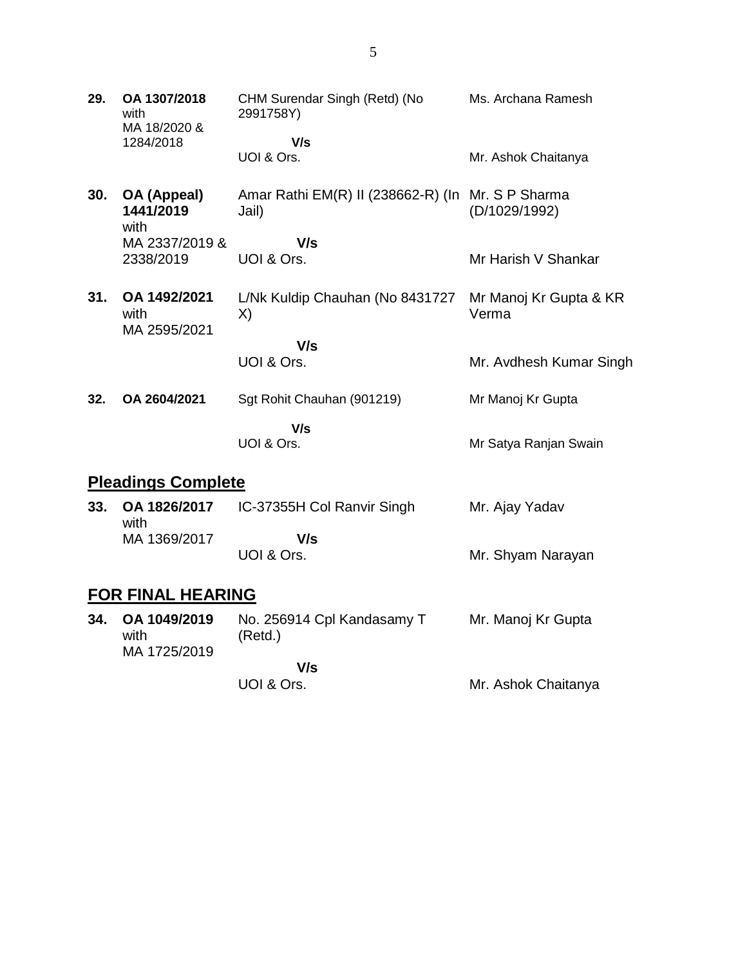| 29. | OA 1307/2018<br>with<br>MA 18/2020 & | CHM Surendar Singh (Retd) (No<br>2991758Y)                 | Ms. Archana Ramesh              |
|-----|--------------------------------------|------------------------------------------------------------|---------------------------------|
|     | 1284/2018                            | V/s<br>UOI & Ors.                                          | Mr. Ashok Chaitanya             |
| 30. | OA (Appeal)<br>1441/2019<br>with     | Amar Rathi EM(R) II (238662-R) (In Mr. S P Sharma<br>Jail) | (D/1029/1992)                   |
|     | MA 2337/2019 &                       | V/s                                                        |                                 |
|     | 2338/2019                            | UOI & Ors.                                                 | Mr Harish V Shankar             |
| 31. | OA 1492/2021<br>with<br>MA 2595/2021 | L/Nk Kuldip Chauhan (No 8431727<br>X)                      | Mr Manoj Kr Gupta & KR<br>Verma |
|     |                                      | V/s                                                        |                                 |
|     |                                      | UOI & Ors.                                                 | Mr. Avdhesh Kumar Singh         |
| 32. | OA 2604/2021                         | Sgt Rohit Chauhan (901219)                                 | Mr Manoj Kr Gupta               |
|     |                                      | V/s<br>UOI & Ors.                                          | Mr Satya Ranjan Swain           |
|     |                                      |                                                            |                                 |

# **Pleadings Complete**

| 33. | OA 1826/2017<br>with | IC-37355H Col Ranvir Singh | Mr. Ajay Yadav    |
|-----|----------------------|----------------------------|-------------------|
|     | MA 1369/2017         | V/s                        |                   |
|     |                      | UOI & Ors.                 | Mr. Shyam Narayan |

# **FOR FINAL HEARING**

| 34. | OA 1049/2019<br>with<br>MA 1725/2019 | No. 256914 Cpl Kandasamy T<br>(Retd.) | Mr. Manoj Kr Gupta |
|-----|--------------------------------------|---------------------------------------|--------------------|
|     |                                      | V/s                                   |                    |

UOI & Ors.

Mr. Ashok Chaitanya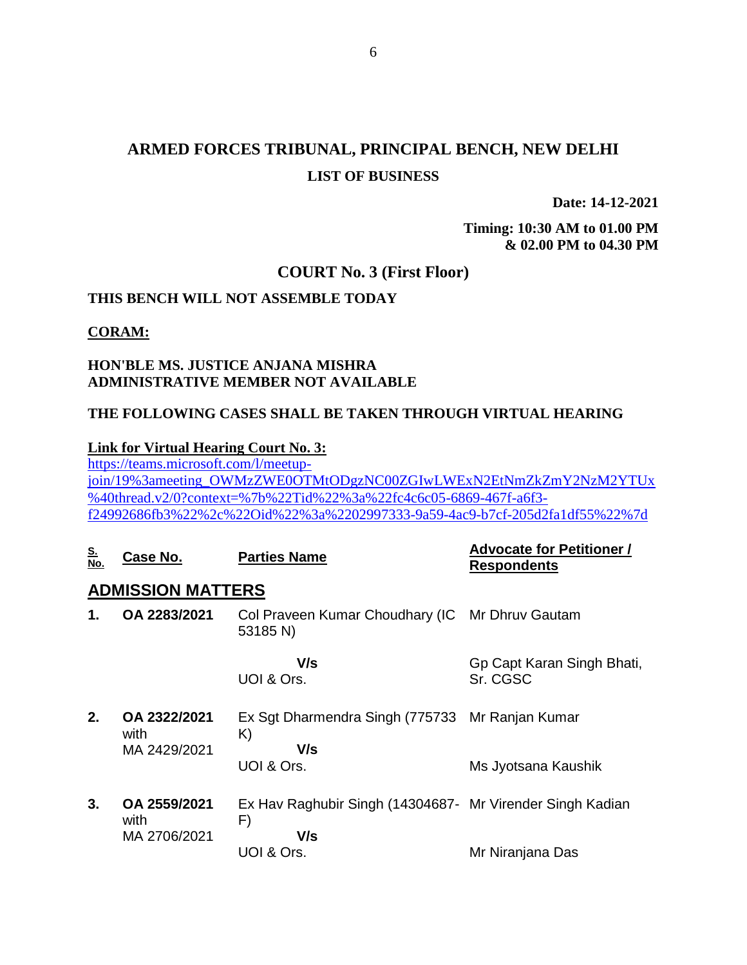## **ARMED FORCES TRIBUNAL, PRINCIPAL BENCH, NEW DELHI LIST OF BUSINESS**

**Date: 14-12-2021**

**Timing: 10:30 AM to 01.00 PM & 02.00 PM to 04.30 PM**

### **COURT No. 3 (First Floor)**

### **THIS BENCH WILL NOT ASSEMBLE TODAY**

#### **CORAM:**

### **HON'BLE MS. JUSTICE ANJANA MISHRA ADMINISTRATIVE MEMBER NOT AVAILABLE**

### **THE FOLLOWING CASES SHALL BE TAKEN THROUGH VIRTUAL HEARING**

#### **Link for Virtual Hearing Court No. 3:**

[https://teams.microsoft.com/l/meetup](https://teams.microsoft.com/l/meetup-join/19%3ameeting_OWMzZWE0OTMtODgzNC00ZGIwLWExN2EtNmZkZmY2NzM2YTUx%40thread.v2/0?context=%7b%22Tid%22%3a%22fc4c6c05-6869-467f-a6f3-f24992686fb3%22%2c%22Oid%22%3a%2202997333-9a59-4ac9-b7cf-205d2fa1df55%22%7d)[join/19%3ameeting\\_OWMzZWE0OTMtODgzNC00ZGIwLWExN2EtNmZkZmY2NzM2YTUx](https://teams.microsoft.com/l/meetup-join/19%3ameeting_OWMzZWE0OTMtODgzNC00ZGIwLWExN2EtNmZkZmY2NzM2YTUx%40thread.v2/0?context=%7b%22Tid%22%3a%22fc4c6c05-6869-467f-a6f3-f24992686fb3%22%2c%22Oid%22%3a%2202997333-9a59-4ac9-b7cf-205d2fa1df55%22%7d) [%40thread.v2/0?context=%7b%22Tid%22%3a%22fc4c6c05-6869-467f-a6f3](https://teams.microsoft.com/l/meetup-join/19%3ameeting_OWMzZWE0OTMtODgzNC00ZGIwLWExN2EtNmZkZmY2NzM2YTUx%40thread.v2/0?context=%7b%22Tid%22%3a%22fc4c6c05-6869-467f-a6f3-f24992686fb3%22%2c%22Oid%22%3a%2202997333-9a59-4ac9-b7cf-205d2fa1df55%22%7d) [f24992686fb3%22%2c%22Oid%22%3a%2202997333-9a59-4ac9-b7cf-205d2fa1df55%22%7d](https://teams.microsoft.com/l/meetup-join/19%3ameeting_OWMzZWE0OTMtODgzNC00ZGIwLWExN2EtNmZkZmY2NzM2YTUx%40thread.v2/0?context=%7b%22Tid%22%3a%22fc4c6c05-6869-467f-a6f3-f24992686fb3%22%2c%22Oid%22%3a%2202997333-9a59-4ac9-b7cf-205d2fa1df55%22%7d)

| <u>S.</u><br>No. | Case No.                             | <b>Parties Name</b>                                             | <b>Advocate for Petitioner /</b><br><b>Respondents</b> |
|------------------|--------------------------------------|-----------------------------------------------------------------|--------------------------------------------------------|
|                  | <b>ADMISSION MATTERS</b>             |                                                                 |                                                        |
| 1.               | OA 2283/2021                         | Col Praveen Kumar Choudhary (IC Mr Dhruv Gautam<br>53185 N)     |                                                        |
|                  |                                      | V/s<br>UOI & Ors.                                               | Gp Capt Karan Singh Bhati,<br>Sr. CGSC                 |
| 2.               | OA 2322/2021<br>with<br>MA 2429/2021 | Ex Sgt Dharmendra Singh (775733 Mr Ranjan Kumar<br>K)<br>V/s    |                                                        |
|                  |                                      | UOI & Ors.                                                      | Ms Jyotsana Kaushik                                    |
| 3.               | OA 2559/2021<br>with                 | Ex Hav Raghubir Singh (14304687- Mr Virender Singh Kadian<br>F) |                                                        |
|                  | MA 2706/2021                         | V/s                                                             |                                                        |
|                  |                                      | UOI & Ors.                                                      | Mr Niranjana Das                                       |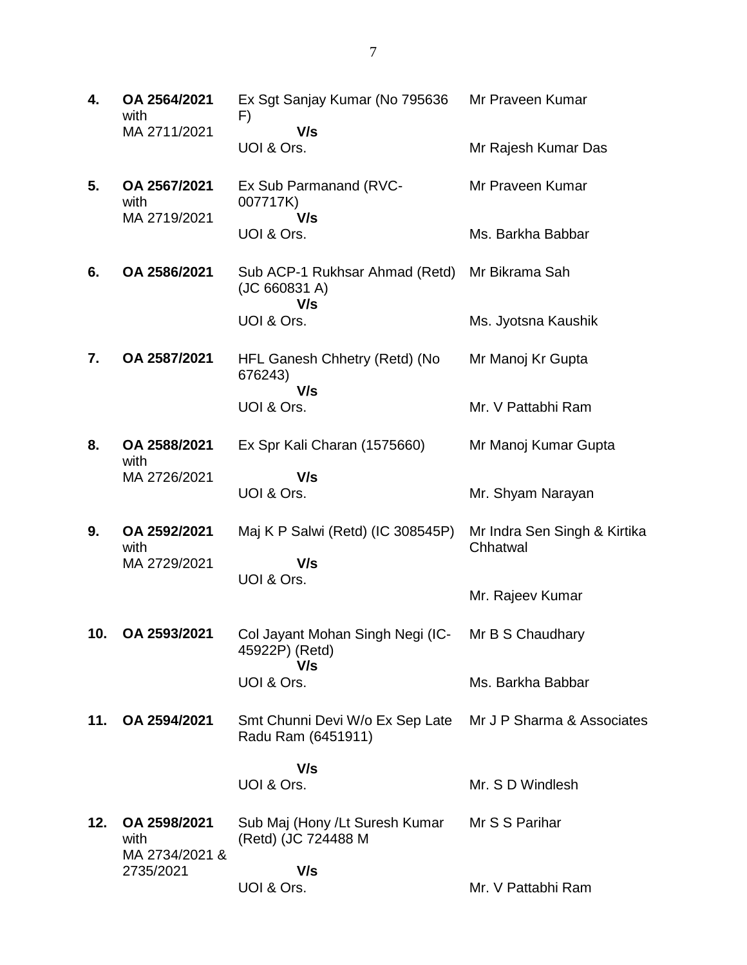| 4.  | OA 2564/2021<br>with                 | Ex Sgt Sanjay Kumar (No 795636<br>F)                                             | Mr Praveen Kumar                         |
|-----|--------------------------------------|----------------------------------------------------------------------------------|------------------------------------------|
|     | MA 2711/2021                         | V/s<br>UOI & Ors.                                                                | Mr Rajesh Kumar Das                      |
| 5.  | OA 2567/2021<br>with<br>MA 2719/2021 | Ex Sub Parmanand (RVC-<br>007717K)<br>V/s                                        | Mr Praveen Kumar                         |
|     |                                      | UOI & Ors.                                                                       | Ms. Barkha Babbar                        |
| 6.  | OA 2586/2021                         | Sub ACP-1 Rukhsar Ahmad (Retd)<br>(JC 660831 A)<br>V/s                           | Mr Bikrama Sah                           |
|     |                                      | UOI & Ors.                                                                       | Ms. Jyotsna Kaushik                      |
| 7.  | OA 2587/2021                         | HFL Ganesh Chhetry (Retd) (No<br>676243)<br>V/s                                  | Mr Manoj Kr Gupta                        |
|     |                                      | UOI & Ors.                                                                       | Mr. V Pattabhi Ram                       |
| 8.  | OA 2588/2021<br>with                 | Ex Spr Kali Charan (1575660)                                                     | Mr Manoj Kumar Gupta                     |
|     | MA 2726/2021                         | V/s<br>UOI & Ors.                                                                | Mr. Shyam Narayan                        |
| 9.  | OA 2592/2021<br>with                 | Maj K P Salwi (Retd) (IC 308545P)                                                | Mr Indra Sen Singh & Kirtika<br>Chhatwal |
|     | MA 2729/2021                         | V/s<br>UOI & Ors.                                                                |                                          |
|     |                                      |                                                                                  | Mr. Rajeev Kumar                         |
| 10. | OA 2593/2021                         | Col Jayant Mohan Singh Negi (IC-<br>45922P) (Retd)<br>V/s                        | Mr B S Chaudharv                         |
|     |                                      | UOI & Ors.                                                                       | Ms. Barkha Babbar                        |
| 11. | OA 2594/2021                         | Smt Chunni Devi W/o Ex Sep Late Mr J P Sharma & Associates<br>Radu Ram (6451911) |                                          |
|     |                                      | V/s<br>UOI & Ors.                                                                | Mr. S D Windlesh                         |
| 12. | OA 2598/2021<br>with                 | Sub Maj (Hony /Lt Suresh Kumar<br>(Retd) (JC 724488 M                            | Mr S S Parihar                           |
|     | MA 2734/2021 &<br>2735/2021          | V/s<br>UOI & Ors.                                                                | Mr. V Pattabhi Ram                       |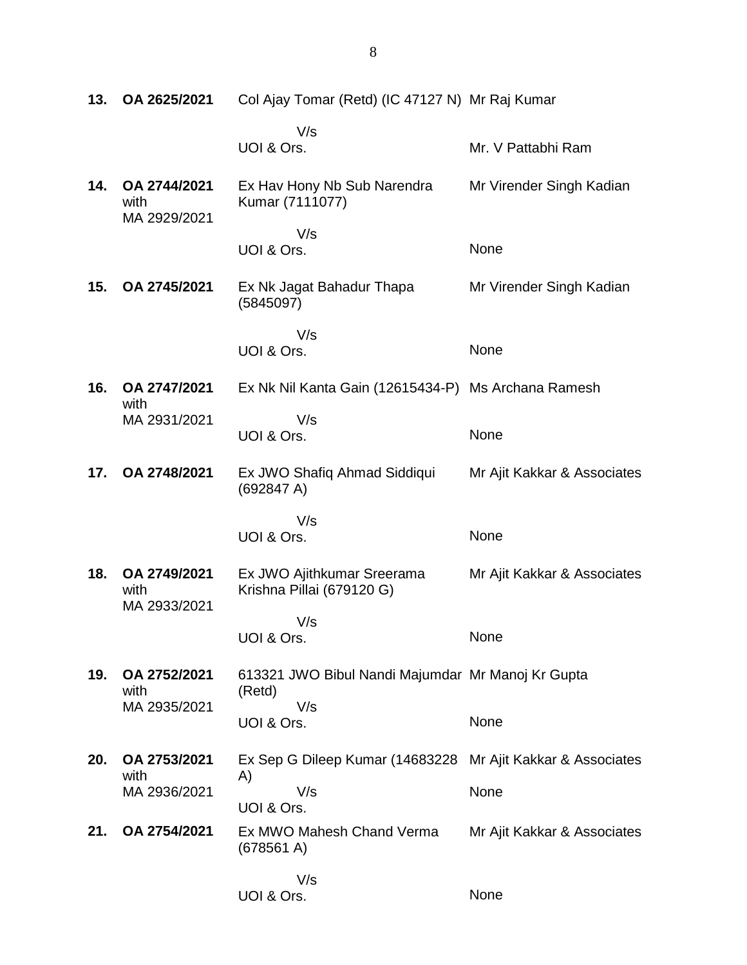**13. OA 2625/2021** Col Ajay Tomar (Retd) (IC 47127 N) Mr Raj Kumar V/s UOI & Ors. Mr. V Pattabhi Ram **14. OA 2744/2021** with MA 2929/2021 Ex Hav Hony Nb Sub Narendra Kumar (7111077) V/s UOI & Ors. Mr Virender Singh Kadian None **15. OA 2745/2021** Ex Nk Jagat Bahadur Thapa (5845097) V/s UOI & Ors. Mr Virender Singh Kadian None **16. OA 2747/2021** with MA 2931/2021 Ex Nk Nil Kanta Gain (12615434-P) Ms Archana Ramesh V/s UOI & Ors. None **17. OA 2748/2021** Ex JWO Shafiq Ahmad Siddiqui (692847 A) V/s UOI & Ors. Mr Ajit Kakkar & Associates None **18. OA 2749/2021** with MA 2933/2021 Ex JWO Ajithkumar Sreerama Krishna Pillai (679120 G) V/s UOI & Ors. Mr Ajit Kakkar & Associates None **19. OA 2752/2021** with MA 2935/2021 613321 JWO Bibul Nandi Majumdar Mr Manoj Kr Gupta (Retd) V/s UOI & Ors. None **20. OA 2753/2021** with MA 2936/2021 Ex Sep G Dileep Kumar (14683228 A) V/s UOI & Ors. Mr Ajit Kakkar & Associates None **21. OA 2754/2021** Ex MWO Mahesh Chand Verma (678561 A) V/s UOI & Ors. Mr Ajit Kakkar & Associates **None**